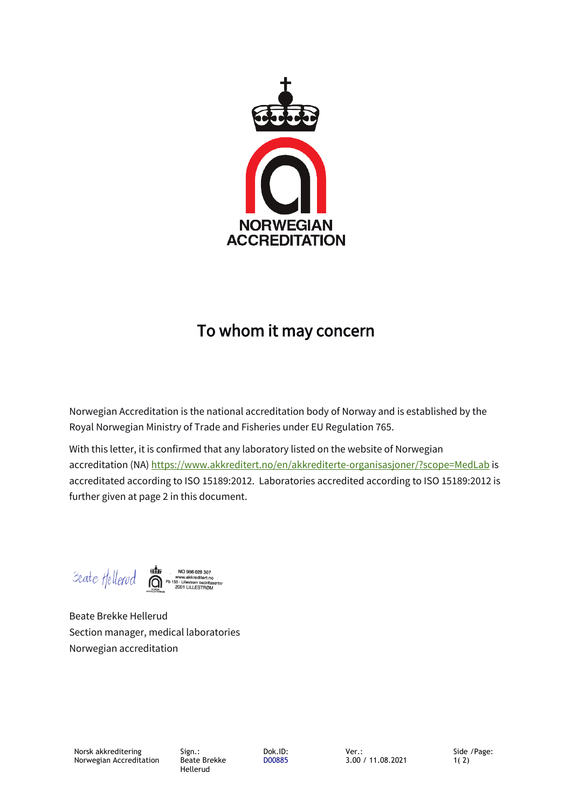

## **To whom it may concern**

Norwegian Accreditation is the national accreditation body of Norway and is established by the Royal Norwegian Ministry of Trade and Fisheries under EU Regulation 765.

With this letter, it is confirmed that any laboratory listed on the website of Norwegian accreditation (NA)<https://www.akkreditert.no/en/akkrediterte-organisasjoner/?scope=MedLab>is accreditated according to ISO 15189:2012. Laboratories accredited according to ISO 15189:2012 is further given at page 2 in this document.

Beate Hellerud க் NO 986 028 307 WWW.akkreditert.no<br>55 - Lillestrøm bedriftss<br>2001 LILLESTRØM

Beate Brekke Hellerud Section manager, medical laboratories Norwegian accreditation

Sign.: Beate Brekke Hellerud

Dok.ID: D00885 Side /Page: 1( 2)